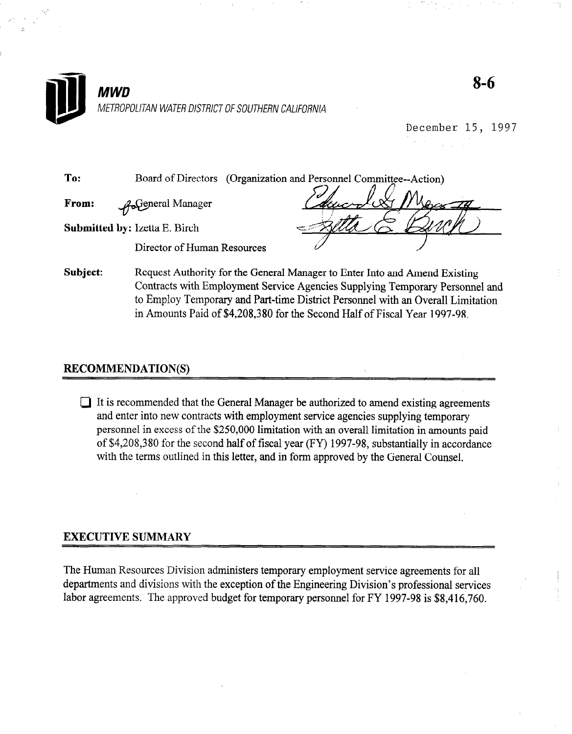

December 15, 1997

To: Board of Directors (Organization and Personnel Committee--Action)

From: w eneral Manager

Submitted by: Izetta E. Birch

Director of Human Resources

Subject: Request Authority for the General Manager to Enter Into and Amend Existing Contracts with Employment Service Agencies Supplying Temporary Personnel and to Employ Temporary and Part-time District Personnel with an Overall Limitation in Amounts Paid of \$4,208,380 for the Second Half of Fiscal Year 1997-98.

### RECOMMENDATION(S)

 $\Box$  It is recommended that the General Manager be authorized to amend existing agreements and recommended that the General Manager be authorized to america existing agreen and enter the new contracts with employment service agencies supprying temporary personnel in excess of the \$250,000 limitation with an overall limitation in amounts paid of \$4,208,380 for the second half of fiscal year  $(FY)$  1997-98, substantially in accordance with the terms outlined in this letter, and in form approved by the General Counsel.

The Human Resources Division administers temporary employment service agreements for all departments and divisions with the exception of the Engineering Division's professional services labor agreements. The approved budget for temporary personnel for FY 1997-98 is \$8,416,760.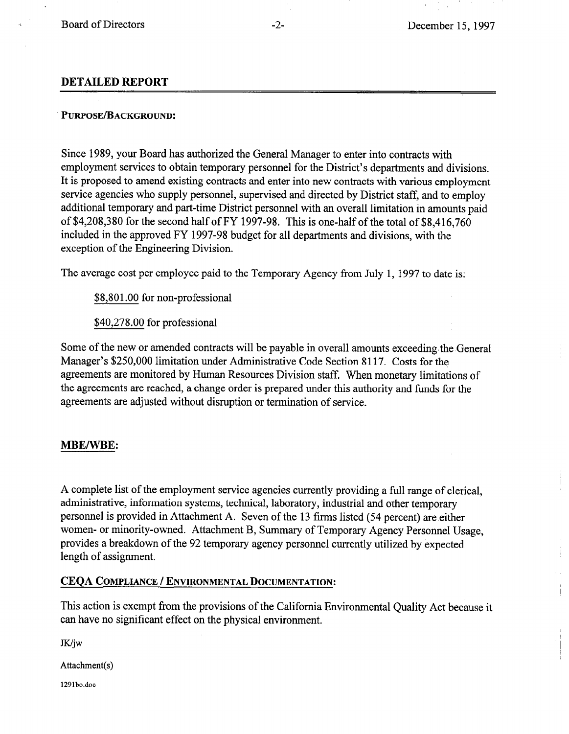#### DETAILED REPORT

### PURPOSE/BACKGROUND:

Since 1989, your Board has authorized the General Manager to enter into contracts with employment services to obtain temporary personnel for the District's departments and divisions. It is proposed to amend existing contracts and enter into new contracts with various employment service agencies who supply personnel, supervised and directed by District staff, and to employ additional temporary and part-time District personnel with an overall limitation in amounts paid of \$4,208,380 for the second half of FY 1997-98. This is one-half of the total of \$8,416,760 included in the approved FY 1997-98 budget for all departments and divisions, with the exception of the Engineering Division.

The average cost per employee paid to the Temporary Agency from July 1, 1997 to date is:

\$8,801.00 for non-professional

\$40,278.00 for professional

Some of the new or amended contracts will be payable in overall amounts exceeding the General Manager's \$250,000 limitation under Administrative Code Section 8117. Costs for the agreements are monitored by Human Resources Division staff. When monetary limitations of the agreements are reached, a change order is prepared under this authority and funds for the agreements are adjusted without disruption or termination of service.

#### MBE/WBE:

A complete list of the employment service agencies currently providing a full range of clerical, administrative, information systems, technical, laboratory, industrial and other temporary personnel is provided in Attachment A. Seven of the 13 firms listed (54 percent) are either women- or minority-owned. Attachment B, Summary of Temporary Agency Personnel Usage, provides a breakdown of the 92 temporary agency personnel currently utilized by expected length of assignment.

#### CEQA COMPLIANCE / ENVIRONMENTAL DOCUMENTATION:

This action is exempt from the provisions of the California Environmental Quality Act because it can have no significant effect on the physical environment.

JK/jw

Attachment(s)

129lbo.doc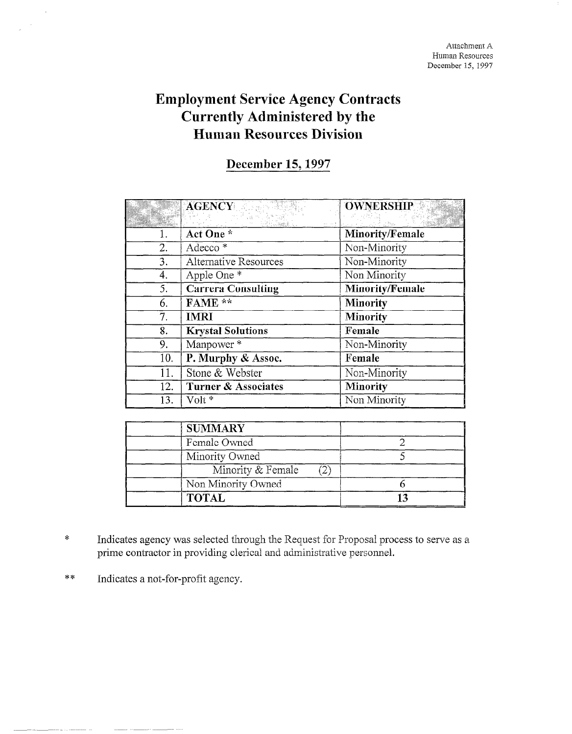# Employment Service Agency Contracts Currently Administered by the Human Resources Division

## December 15, 1997

|     | <b>AGENCY</b>                  | <b>OWNERSHIP</b>       |
|-----|--------------------------------|------------------------|
|     | Act One *                      | Minority/Female        |
| 2.  | Adecco <sup>*</sup>            | Non-Minority           |
| 3.  | Alternative Resources          | Non-Minority           |
| 4.  | Apple One *                    | Non Minority           |
| 5.  | <b>Carrera Consulting</b>      | <b>Minority/Female</b> |
| 6.  | FAME **                        | <b>Minority</b>        |
| 7.  | <b>IMRI</b>                    | <b>Minority</b>        |
| 8.  | <b>Krystal Solutions</b>       | Female                 |
| 9.  | Manpower *                     | Non-Minority           |
| 10. | P. Murphy & Assoc.             | Female                 |
| 11. | Stone & Webster                | Non-Minority           |
| 12. | <b>Turner &amp; Associates</b> | <b>Minority</b>        |
| 13. | Volt *                         | Non Minority           |

| <b>SUMMARY</b>     |  |
|--------------------|--|
| Female Owned       |  |
| Minority Owned     |  |
| Minority & Female  |  |
| Non Minority Owned |  |
| <b>TOTAL</b>       |  |

- \* Indicates agency was selected through the Request for Proposal process to serve as a prime contractor in providing clerical and administrative personnel.
- \*\* Indicates a not-for-profit agency.

 $\bar{\bar{z}}$